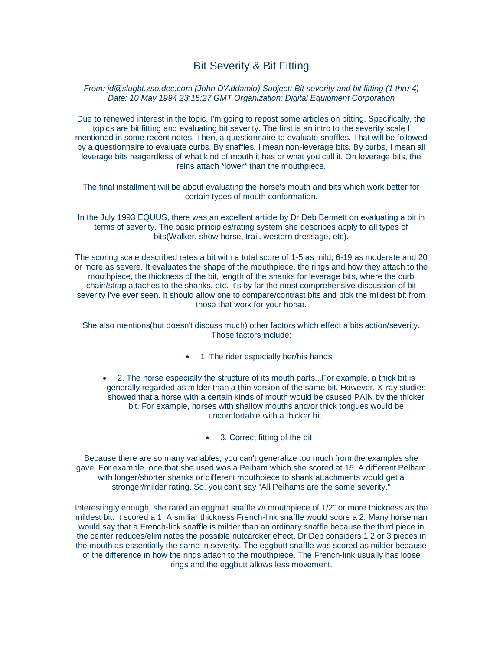# Bit Severity & Bit Fitting

# *From: jd@slugbt.zso.dec.com (John D'Addamio) Subject: Bit severity and bit fitting (1 thru 4) Date: 10 May 1994 23:15:27 GMT Organization: Digital Equipment Corporation*

Due to renewed interest in the topic, I'm going to repost some articles on bitting. Specifically, the topics are bit fitting and evaluating bit severity. The first is an intro to the severity scale I mentioned in some recent notes. Then, a questionnaire to evaluate snaffles. That will be followed by a questionnaire to evaluate curbs. By snaffles, I mean non-leverage bits. By curbs, I mean all leverage bits reagardless of what kind of mouth it has or what you call it. On leverage bits, the reins attach \*lower\* than the mouthpiece.

The final installment will be about evaluating the horse's mouth and bits which work better for certain types of mouth conformation.

In the July 1993 EQUUS, there was an excellent article by Dr Deb Bennett on evaluating a bit in terms of severity. The basic principles/rating system she describes apply to all types of bits(Walker, show horse, trail, western dressage, etc).

The scoring scale described rates a bit with a total score of 1-5 as mild, 6-19 as moderate and 20 or more as severe. It evaluates the shape of the mouthpiece, the rings and how they attach to the mouthpiece, the thickness of the bit, length of the shanks for leverage bits, where the curb chain/strap attaches to the shanks, etc. It's by far the most comprehensive discussion of bit severity I've ever seen. It should allow one to compare/contrast bits and pick the mildest bit from those that work for your horse.

She also mentions(but doesn't discuss much) other factors which effect a bits action/severity. Those factors include:

- 1. The rider especially her/his hands
- 2. The horse especially the structure of its mouth parts...For example, a thick bit is generally regarded as milder than a thin version of the same bit. However, X-ray studies showed that a horse with a certain kinds of mouth would be caused PAIN by the thicker bit. For example, horses with shallow mouths and/or thick tongues would be uncomfortable with a thicker bit.
	- 3. Correct fitting of the bit

Because there are so many variables, you can't generalize too much from the examples she gave. For example, one that she used was a Pelham which she scored at 15. A different Pelham with longer/shorter shanks or different mouthpiece to shank attachments would get a stronger/milder rating. So, you can't say "All Pelhams are the same severity."

Interestingly enough, she rated an eggbutt snaffle w/ mouthpiece of 1/2" or more thickness as the mildest bit. It scored a 1. A smiliar thickness French-link snaffle would score a 2. Many horseman would say that a French-link snaffle is milder than an ordinary snaffle because the third piece in the center reduces/eliminates the possible nutcarcker effect. Dr Deb considers 1,2 or 3 pieces in the mouth as essentially the same in severity. The eggbutt snaffle was scored as milder because of the difference in how the rings attach to the mouthpiece. The French-link usually has loose rings and the eggbutt allows less movement.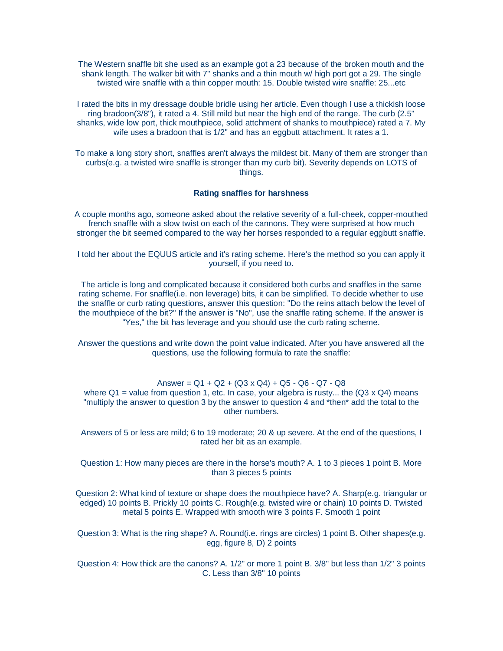The Western snaffle bit she used as an example got a 23 because of the broken mouth and the shank length. The walker bit with 7" shanks and a thin mouth w/ high port got a 29. The single twisted wire snaffle with a thin copper mouth: 15. Double twisted wire snaffle: 25...etc

I rated the bits in my dressage double bridle using her article. Even though I use a thickish loose ring bradoon(3/8"), it rated a 4. Still mild but near the high end of the range. The curb (2.5" shanks, wide low port, thick mouthpiece, solid attchment of shanks to mouthpiece) rated a 7. My wife uses a bradoon that is 1/2" and has an eggbutt attachment. It rates a 1.

To make a long story short, snaffles aren't always the mildest bit. Many of them are stronger than curbs(e.g. a twisted wire snaffle is stronger than my curb bit). Severity depends on LOTS of things.

#### **Rating snaffles for harshness**

A couple months ago, someone asked about the relative severity of a full-cheek, copper-mouthed french snaffle with a slow twist on each of the cannons. They were surprised at how much stronger the bit seemed compared to the way her horses responded to a regular eggbutt snaffle.

I told her about the EQUUS article and it's rating scheme. Here's the method so you can apply it yourself, if you need to.

The article is long and complicated because it considered both curbs and snaffles in the same rating scheme. For snaffle(i.e. non leverage) bits, it can be simplified. To decide whether to use the snaffle or curb rating questions, answer this question: "Do the reins attach below the level of the mouthpiece of the bit?" If the answer is "No", use the snaffle rating scheme. If the answer is "Yes," the bit has leverage and you should use the curb rating scheme.

Answer the questions and write down the point value indicated. After you have answered all the questions, use the following formula to rate the snaffle:

Answer =  $Q1 + Q2 + (Q3 \times Q4) + Q5 - Q6 - Q7 - Q8$ where  $Q1$  = value from question 1, etc. In case, your algebra is rusty... the  $(Q3 \times Q4)$  means "multiply the answer to question 3 by the answer to question 4 and \*then\* add the total to the other numbers.

Answers of 5 or less are mild; 6 to 19 moderate; 20 & up severe. At the end of the questions, I rated her bit as an example.

Question 1: How many pieces are there in the horse's mouth? A. 1 to 3 pieces 1 point B. More than 3 pieces 5 points

Question 2: What kind of texture or shape does the mouthpiece have? A. Sharp(e.g. triangular or edged) 10 points B. Prickly 10 points C. Rough(e.g. twisted wire or chain) 10 points D. Twisted metal 5 points E. Wrapped with smooth wire 3 points F. Smooth 1 point

Question 3: What is the ring shape? A. Round(i.e. rings are circles) 1 point B. Other shapes(e.g. egg, figure 8, D) 2 points

Question 4: How thick are the canons? A. 1/2" or more 1 point B. 3/8" but less than 1/2" 3 points C. Less than 3/8" 10 points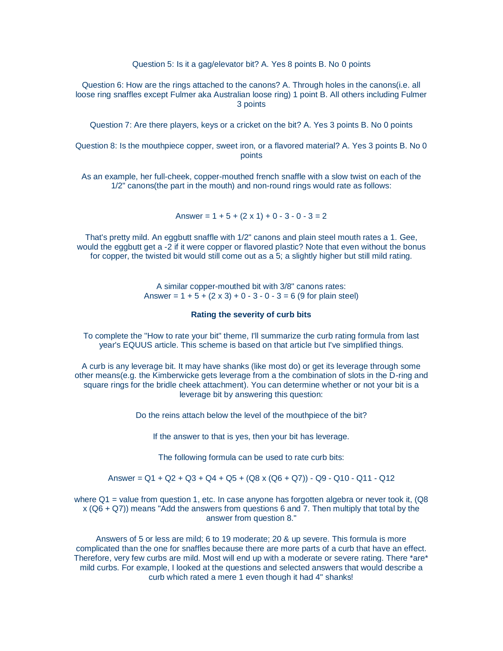Question 5: Is it a gag/elevator bit? A. Yes 8 points B. No 0 points

Question 6: How are the rings attached to the canons? A. Through holes in the canons(i.e. all loose ring snaffles except Fulmer aka Australian loose ring) 1 point B. All others including Fulmer 3 points

Question 7: Are there players, keys or a cricket on the bit? A. Yes 3 points B. No 0 points

Question 8: Is the mouthpiece copper, sweet iron, or a flavored material? A. Yes 3 points B. No 0 points

As an example, her full-cheek, copper-mouthed french snaffle with a slow twist on each of the 1/2" canons(the part in the mouth) and non-round rings would rate as follows:

Answer =  $1 + 5 + (2 \times 1) + 0 - 3 - 0 - 3 = 2$ 

That's pretty mild. An eggbutt snaffle with 1/2" canons and plain steel mouth rates a 1. Gee, would the eggbutt get a -2 if it were copper or flavored plastic? Note that even without the bonus for copper, the twisted bit would still come out as a 5; a slightly higher but still mild rating.

> A similar copper-mouthed bit with 3/8" canons rates: Answer =  $1 + 5 + (2 \times 3) + 0 - 3 - 0 - 3 = 6 (9$  for plain steel)

#### **Rating the severity of curb bits**

To complete the "How to rate your bit" theme, I'll summarize the curb rating formula from last year's EQUUS article. This scheme is based on that article but I've simplified things.

A curb is any leverage bit. It may have shanks (like most do) or get its leverage through some other means(e.g. the Kimberwicke gets leverage from a the combination of slots in the D-ring and square rings for the bridle cheek attachment). You can determine whether or not your bit is a leverage bit by answering this question:

Do the reins attach below the level of the mouthpiece of the bit?

If the answer to that is yes, then your bit has leverage.

The following formula can be used to rate curb bits:

### Answer = Q1 + Q2 + Q3 + Q4 + Q5 + (Q8 x (Q6 + Q7)) - Q9 - Q10 - Q11 - Q12

where  $Q1$  = value from question 1, etc. In case anyone has forgotten algebra or never took it,  $(Q8)$  $x (Q6 + Q7)$ ) means "Add the answers from questions 6 and 7. Then multiply that total by the answer from question 8."

Answers of 5 or less are mild; 6 to 19 moderate; 20 & up severe. This formula is more complicated than the one for snaffles because there are more parts of a curb that have an effect. Therefore, very few curbs are mild. Most will end up with a moderate or severe rating. There \*are\* mild curbs. For example, I looked at the questions and selected answers that would describe a curb which rated a mere 1 even though it had 4" shanks!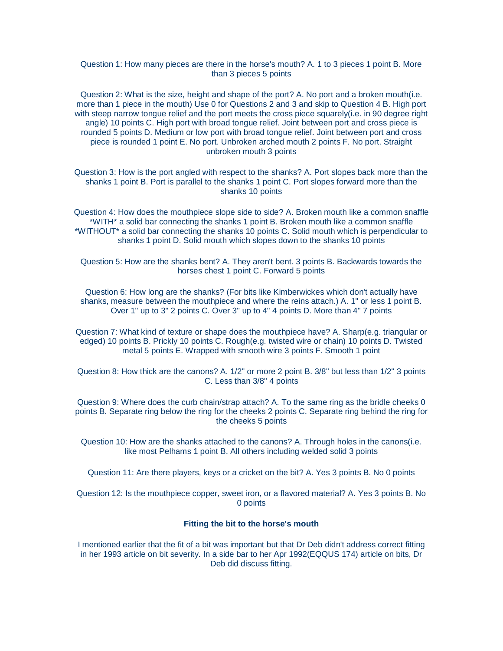# Question 1: How many pieces are there in the horse's mouth? A. 1 to 3 pieces 1 point B. More than 3 pieces 5 points

Question 2: What is the size, height and shape of the port? A. No port and a broken mouth(i.e. more than 1 piece in the mouth) Use 0 for Questions 2 and 3 and skip to Question 4 B. High port with steep narrow tongue relief and the port meets the cross piece squarely(i.e. in 90 degree right angle) 10 points C. High port with broad tongue relief. Joint between port and cross piece is rounded 5 points D. Medium or low port with broad tongue relief. Joint between port and cross piece is rounded 1 point E. No port. Unbroken arched mouth 2 points F. No port. Straight unbroken mouth 3 points

Question 3: How is the port angled with respect to the shanks? A. Port slopes back more than the shanks 1 point B. Port is parallel to the shanks 1 point C. Port slopes forward more than the shanks 10 points

Question 4: How does the mouthpiece slope side to side? A. Broken mouth like a common snaffle \*WITH\* a solid bar connecting the shanks 1 point B. Broken mouth like a common snaffle \*WITHOUT\* a solid bar connecting the shanks 10 points C. Solid mouth which is perpendicular to shanks 1 point D. Solid mouth which slopes down to the shanks 10 points

Question 5: How are the shanks bent? A. They aren't bent. 3 points B. Backwards towards the horses chest 1 point C. Forward 5 points

Question 6: How long are the shanks? (For bits like Kimberwickes which don't actually have shanks, measure between the mouthpiece and where the reins attach.) A. 1" or less 1 point B. Over 1" up to 3" 2 points C. Over 3" up to 4" 4 points D. More than 4" 7 points

Question 7: What kind of texture or shape does the mouthpiece have? A. Sharp(e.g. triangular or edged) 10 points B. Prickly 10 points C. Rough(e.g. twisted wire or chain) 10 points D. Twisted metal 5 points E. Wrapped with smooth wire 3 points F. Smooth 1 point

Question 8: How thick are the canons? A. 1/2" or more 2 point B. 3/8" but less than 1/2" 3 points C. Less than 3/8" 4 points

Question 9: Where does the curb chain/strap attach? A. To the same ring as the bridle cheeks 0 points B. Separate ring below the ring for the cheeks 2 points C. Separate ring behind the ring for the cheeks 5 points

Question 10: How are the shanks attached to the canons? A. Through holes in the canons(i.e. like most Pelhams 1 point B. All others including welded solid 3 points

Question 11: Are there players, keys or a cricket on the bit? A. Yes 3 points B. No 0 points

Question 12: Is the mouthpiece copper, sweet iron, or a flavored material? A. Yes 3 points B. No 0 points

# **Fitting the bit to the horse's mouth**

I mentioned earlier that the fit of a bit was important but that Dr Deb didn't address correct fitting in her 1993 article on bit severity. In a side bar to her Apr 1992(EQQUS 174) article on bits, Dr Deb did discuss fitting.